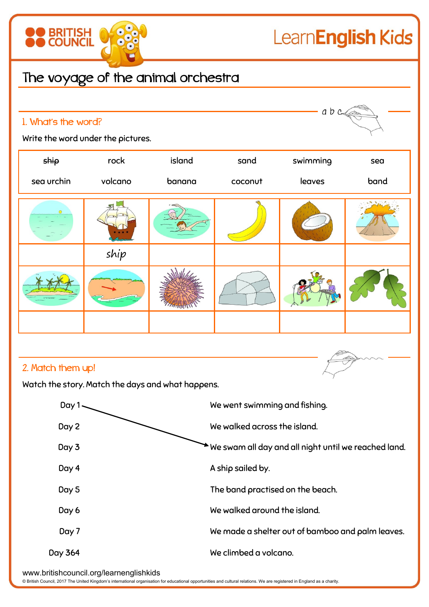

## 2. Match them up!

Watch the story. Match the days and what happens.



www.britishcouncil.org/learnenglishkids

© British Council, 2017 The United Kingdom's international organisation for educational opportunities and cultural relations. We are registered in England as a charity.